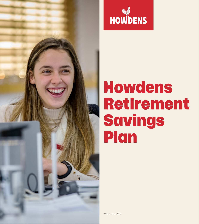



### Howdens Retirement Savings Plan

Version 1: April 2022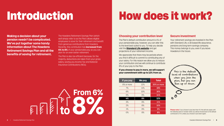## Introduction

**Making a decision about your pension needn't be complicated. We've put together some handy information about The Howdens Retirement Savings Plan and all the benefits of saving for retirement.**

The Howdens Retirement Savings Plan (which we'll simply refer to as the Plan) allows eligible employees to save for their retirement and benefit from generous contributions from Howdens. Recently, this contribution has **increased from 6% to 8%** of your pensionable pay, so you can plan for an even better retirement.

We appreciate that there may be periods where you find it difficult to commit to contributing any of your salary. For this reason we allow you to reduce your contribution and we will continue to contribute 8% of your pay to the Plan.

The Plan is also tax efficient because, for the majority, deductions are taken from your gross salary, saving you Income Tax and National Insurance Contributions (NICs).

#### **Choosing your contribution level**

The Plan's default contribution amount is 4% of your pensionable pay, however, you can alter this to the level best suited to you. To help you decide visit the **[Standard Life website](https://www.standardlife.co.uk/)** and get projections of your retirement income.

# **From 6%** and the following April or October when you will be moved back to the default<br>  $\frac{1\%}{0\%}$  and  $\frac{8\%}{8\%}$  and  $\frac{9\%}{8\%}$  **Please note:** If you choose to pay less than 4% this will only apply until<br>
contribution of

#### **If you choose to pay in more, we will support your commitment with up to 12% from us.**

#### **Secure investment**

Your retirement savings are invested in the Plan with Standard Life, a UK-based life assurance, pensions and long-term savings company. This money belongs to you, even if you leave Howdens in the future.

## How does it work?

| If you pay | <b>We pay</b> | <b>Total</b> |
|------------|---------------|--------------|
| 8% or more | 12%           | 20% or more  |
| 7%         | 11%           | 18%          |
| 6%         | 10%           | 16%          |
| 5%         | 9%            | 14%          |
| 4%         | 8%            | 12%          |
| 3%         | 8%            | 11%          |
| 2%         | 8%            | 10%          |
| $1\%$      | 8%            | 9%           |
| $0\%$      | 8%            | 8%           |

the following April or October when you will be moved back to the default contribution of 4% unless you choose to opt down again.



This is the default level of contributions when you join the plan, but you can flex up or down.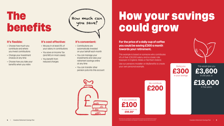#### **It's flexible:**

- Choose how much you contribute and where you invest contributions
- Change your investment choices at any time
- Choose how you take your benefits when you retire

#### **It's cost effective:**

- We pay in at least 8% of your salary in contributions
- You save on Income Tax (and NICs in most cases)
- You benefit from reduced charges

#### **It's convenient:**

• Contributions are automatically invested on your behalf each month

- You can manage your investments and view your retirement savings online at any time
- You can transfer other pension pots into this account



### The benefits

This would give you £3,600 in one year, or

**4** | Howdens Retirement Savings Plan **Howdens Retirement Savings Plan For an intermediate rate taxpayer in Scotland it will cost only cost you £67.** Howdens Retirement Savings Plan **5** \*Because your contribution is deducted before Income tax and National Insurance.



**£18,000** in five years

Giving you **£300** in your savings

**£200**

If you contribute **£100** At a cost to you of only **£66.80\***

This example is based on someone who contributes 4% of their £30,000 salary and is a basic rate taxpayer in England, Wales or Northern Ireland.

Use our pensions modeller on MyBenefits to create your own personal example.

We contribute

## How your savings could grow

**For the price of a daily cup of coffee you could be saving £300 a month towards your retirement.**

How much can

you save?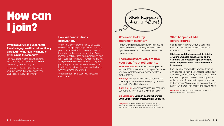#### **How will contributions be invested?**

You get to choose how your money is invested. However, to keep things simple, we initially invest your contributions in a fund where you need a low level of involvement in the selection of your investment options. Once you have received your joiner pack from Standard Life we encourage you to **[register online](https://online.standardlife.com/secure/customer-authentication-client/customer/login)** to see how your savings are performing, what your retirement income could look like and decide whether you need to change where your funds are invested.

If you enroll before the  $9<sup>th</sup>$  of the month, your first contribution will be taken from your salary the very same month.

You can find out more about your investment options **[here](https://eur01.safelinks.protection.outlook.com/?url=https%3A%2F%2Fhowdenjoineryaescheme.co.uk%2Fmedia%2F3411%2Finvestment-funds-information-v2.pdf&data=04%7C01%7CNicola.Hambridge%40howdens.com%7C3a3df12a53d840fc101508da037d8563%7Cc7966bb526c04227b26e2c5fb17db44a%7C0%7C0%7C637826134877195636%7CUnknown%7CTWFpbGZsb3d8eyJWIjoiMC4wLjAwMDAiLCJQIjoiV2luMzIiLCJBTiI6Ik1haWwiLCJXVCI6Mn0%3D%7C3000&sdata=efHsSIVMyr8T%2BIgaE%2Be4ai60KH5FDgbhH81PT4oIYgY%3D&reserved=0" https://howdenjoineryaescheme.co.uk/media/3411/investment-funds-information-v2.pdf


)**.

#### **If you're over 22 and under State Pension Age you will be automatically enrolled into the Plan two months after joining the company.**

**Flexible drawdown:** Receive a flexible pension income (25% tax free) directly from your fund when you retire, while leaving your money invested for further growth.

But you can still join the plan at any time. By completing the application form **[here](https://hjintra.services.howdens.corp/Support/MyBenefits/Documents/Pension_Application_Amendment_Form_2022_23.pdf)** and sending a copy to payroll.

> **Cash it all in:** Take all your savings as a cash lump sum (25% tax free) or as and when you need it.

**Please note:** If you take out more than 25% as a cash lump sum from the Plan (or any other pension arrangement you have) this may restrict the amount you can save into the Plan going forwards.

#### **When can I take my retirement benefits?**

Retirement age eligibility is currently from age 55 and the default in the Plan is your State Pension Age. You can select your desired retirement date upon enrolment.

#### **There are several ways to take your benefits at retirement...**

**Please note:** Although we'll take your wishes into consideration, we must consider your circumstances.



## How can I join?

**Annuity:** Take 25% of your pension as a tax-free cash lump sum and buy an annuity (a guaranteed income for life) with the balance.

#### **Did you know... you can also take benefits while you are still in employment if you wish.**

#### **What happens if I die before I retire?**

Standard Life will pay the value of your Plan account to your nominated beneficiary(ies), usually as a lump sum.

#### **It is important that you complete details of your nominated beneficiaries on the Standard Life website or app, even if you have completed these details elsewhere in Howdens.**

If you die while employed by Howdens, there will also be a benefit from the life assurance of at least four times your base salary. This is a separate and additional payment to the Plan value. Again, it's really important for you to state your beneficiaries to the company. You can do this by completing the Expression of Wish form which can be found **[here](https://hjintra.services.howdens.corp/Support/MyBenefits/Documents/Expression%20of%20Wish%20form%202021.pdf)**.

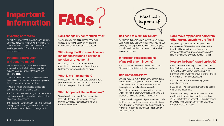#### **Can I change my contribution rate?**

Yes, you can do this **[here](https://hjintra.services.howdens.corp/Support/MyBenefits/Documents/Pension_Application_Amendment_Form_2022_23.pdf)**. Please note: if you choose to flex down below 4%, you will be moved back up to 4% in April and October.

#### **Will joining the Plan mean I can no longer contribute to a personal pension arrangement?**

No, as long as total contributions don't exceed the annual allowance in any tax year. Further information can be found **[here](https://hjintra.services.howdens.corp/Support/MyBenefits/Documents/Tax%20Allowances%20HRSP%202022.pdf)**.

### Important **Important<br>information FAQS**

#### **What is my Plan number?**

When you join the Plan, Standard Life will write to you and confirm your Plan number. You will need this to access your online information.

#### **What happens if I leave Howdens?**

You will continue to benefit from preferential fees with Standard Life, with your pension savings converted into a personal pension and assigned to you.

The Howdens Retirement Savings Plan is open to all employees in the UK (excludes the Isle of Man, who have a different Pension arrangement).



#### **Investing carries risk**

As with any investment, the value can fluctuate and may be worth less than what was paid in. If you need help choosing your investments, seeking professional financial advice is recommended.

#### **Potential contribution and benefits impact**

Please be aware that some people may be impacted by the HMRC limits on tax efficient pension savings. Further information can be found **[here](https://hjintra.services.howdens.corp/Support/MyBenefits/Documents/Tax%20Allowances%20HRSP%202022.pdf)**.

If you take more than 25% as a cash lump sum from the Plan or another pension arrangement, this can restrict future contributions.

> It's worth reminding you that you can still remain in the Plan and benefit from company contributions, even if you opt to contribute 0%. If you still wish to leave the Plan altogether, you can re-join at any point in the future.

If you believe you are affected, please talk to a member of the Pensions team.

The Company reserves the right to vary the Plan details and contribution levels from time to time at its absolute discretion.

#### **Do I need to claim tax relief?**

No. Contributions are paid directly from your gross salary via Salary Exchange. However, if you opt out of Salary Exchange and are a higher rate taxpayer you will need to reclaim the higher rate tax relief via your tax return.

#### **Where can I get projections of my retirement income?**

You can use the retirement income tool on the Standard Life website or via the app **[here](https://www.standardlife.co.uk/pensions/tools/pension-calculator)**.

#### **Can I leave the Plan?**

Yes. You may opt-out, but Company contributions will also cease to be paid into the Plan. We may have to re-enrol you into the Plan in the future to comply with Auto Enrolment legislation. Any contributions paid by you and the Company will be retained in the Plan. You can elect to re-join the Plan on a voluntary basis in the future.

#### **Can I move my pension pots from other arrangements to the Plan?**

Yes, you may be able to combine your pension arrangements. This can be done online via the Standard Life website or app. You may need independent financial advice depending on the kind of arrangement you are transferring from.

#### **How are the benefits paid on death?**

Beneficiaries can normally choose how to take benefits from their share of your pension savings. This can be in the form of a single lump sum, buying an annuity with the provider of their choice, or taken as an inherited drawdown.

If you die before 75, the money they get will normally be tax-free.

If you die after 75, they will pay income tax based on their overall earnings.

They won't normally have to pay inheritance tax, and if the total value of all benefits is less than £1,073,100 (for the tax year 2020-21 and remaining so until tax year 2025-26), no lifetime allowance (LTA) tax charge will apply.